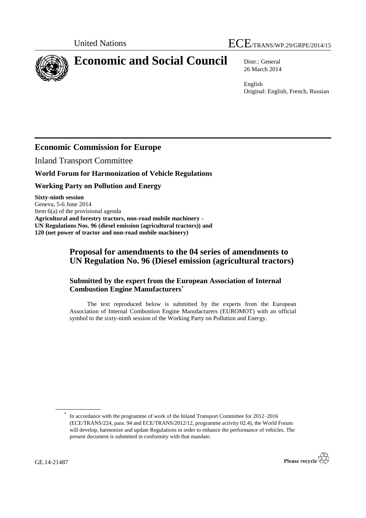

# **Economic and Social Council** Distr.: General

26 March 2014

English Original: English, French, Russian

## **Economic Commission for Europe**

Inland Transport Committee

#### **World Forum for Harmonization of Vehicle Regulations**

#### **Working Party on Pollution and Energy**

**Sixty-ninth session**  Geneva, 5-6 June 2014 Item 6(a) of the provisional agenda **Agricultural and forestry tractors, non-road mobile machinery - UN Regulations Nos. 96 (diesel emission (agricultural tractors)) and 120 (net power of tractor and non-road mobile machinery)**

### **Proposal for amendments to the 04 series of amendments to UN Regulation No. 96 (Diesel emission (agricultural tractors)**

#### **Submitted by the expert from the European Association of Internal Combustion Engine Manufacturers\***

The text reproduced below is submitted by the experts from the European Association of Internal Combustion Engine Manufacturers (EUROMOT) with an official symbol to the sixty-ninth session of the Working Party on Pollution and Energy.

<sup>\*</sup> In accordance with the programme of work of the Inland Transport Committee for 2012–2016 (ECE/TRANS/224, para. 94 and ECE/TRANS/2012/12, programme activity 02.4), the World Forum will develop, harmonize and update Regulations in order to enhance the performance of vehicles. The present document is submitted in conformity with that mandate.